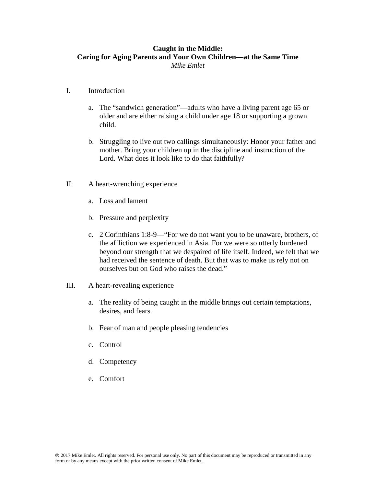## **Caught in the Middle: Caring for Aging Parents and Your Own Children—at the Same Time** *Mike Emlet*

## I. Introduction

- a. The "sandwich generation"—adults who have a living parent age 65 or older and are either raising a child under age 18 or supporting a grown child.
- b. Struggling to live out two callings simultaneously: Honor your father and mother. Bring your children up in the discipline and instruction of the Lord. What does it look like to do that faithfully?
- II. A heart-wrenching experience
	- a. Loss and lament
	- b. Pressure and perplexity
	- c. 2 Corinthians 1:8-9—"For we do not want you to be unaware, brothers, of the affliction we experienced in Asia. For we were so utterly burdened beyond our strength that we despaired of life itself. Indeed, we felt that we had received the sentence of death. But that was to make us rely not on ourselves but on God who raises the dead."
- III. A heart-revealing experience
	- a. The reality of being caught in the middle brings out certain temptations, desires, and fears.
	- b. Fear of man and people pleasing tendencies
	- c. Control
	- d. Competency
	- e. Comfort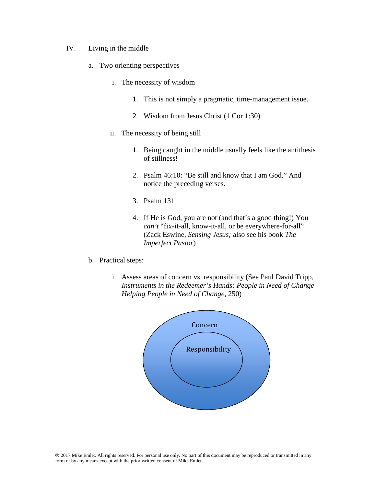- IV. Living in the middle
	- a. Two orienting perspectives
		- i. The necessity of wisdom
			- 1. This is not simply a pragmatic, time-management issue.
			- 2. Wisdom from Jesus Christ (1 Cor 1:30)
		- ii. The necessity of being still
			- 1. Being caught in the middle usually feels like the antithesis of stillness!
			- 2. Psalm 46:10: "Be still and know that I am God." And notice the preceding verses.
			- 3. Psalm 131
			- 4. If He is God, you are not (and that's a good thing!) You *can't* "fix-it-all, know-it-all, or be everywhere-for-all" (Zack Eswine, *Sensing Jesus;* also see his book *The Imperfect Pastor*)
	- b. Practical steps:
		- i. Assess areas of concern vs. responsibility (See Paul David Tripp, *Instruments in the Redeemer's Hands: People in Need of Change Helping People in Need of Change,* 250)